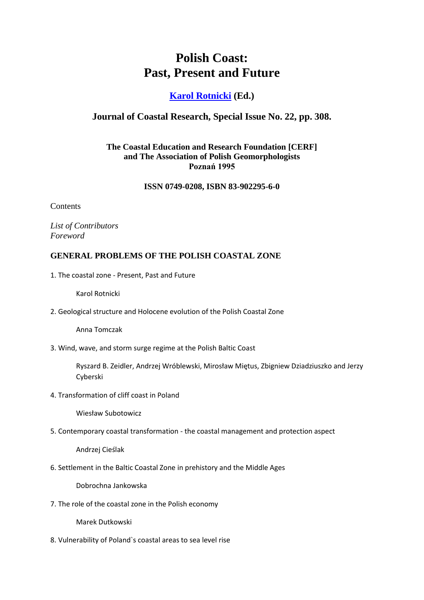# **Polish Coast: Past, Present and Future**

# **[Karol Rotnicki](mailto:rotnicki@amu.edu.pl) (Ed.)**

## **Journal of Coastal Research, Special Issue No. 22, pp. 308.**

## **The Coastal Education and Research Foundation [CERF] and The Association of Polish Geomorphologists Poznań 1995**

#### **ISSN 0749-0208, ISBN 83-902295-6-0**

**Contents** 

*List of Contributors Foreword*

#### **GENERAL PROBLEMS OF THE POLISH COASTAL ZONE**

1. The coastal zone - Present, Past and Future

Karol Rotnicki

2. Geological structure and Holocene evolution of the Polish Coastal Zone

Anna Tomczak

3. Wind, wave, and storm surge regime at the Polish Baltic Coast

Ryszard B. Zeidler, Andrzej Wróblewski, Mirosław Miętus, Zbigniew Dziadziuszko and Jerzy Cyberski

4. Transformation of cliff coast in Poland

Wiesław Subotowicz

5. Contemporary coastal transformation - the coastal management and protection aspect

Andrzej Cieślak

6. Settlement in the Baltic Coastal Zone in prehistory and the Middle Ages

Dobrochna Jankowska

7. The role of the coastal zone in the Polish economy

Marek Dutkowski

8. Vulnerability of Poland`s coastal areas to sea level rise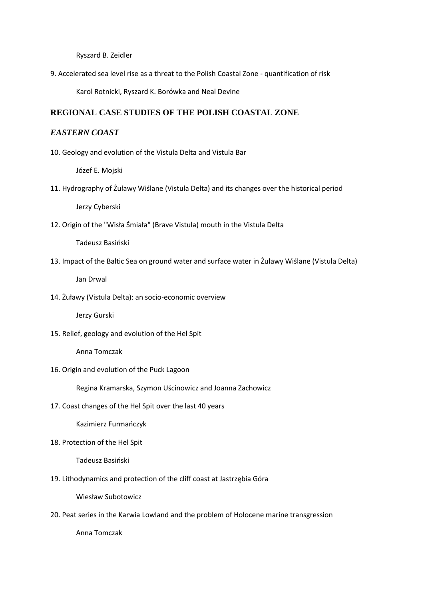Ryszard B. Zeidler

9. Accelerated sea level rise as a threat to the Polish Coastal Zone - quantification of risk

Karol Rotnicki, Ryszard K. Borówka and Neal Devine

#### **REGIONAL CASE STUDIES OF THE POLISH COASTAL ZONE**

#### *EASTERN COAST*

10. Geology and evolution of the Vistula Delta and Vistula Bar

Józef E. Mojski

11. Hydrography of Żuławy Wiślane (Vistula Delta) and its changes over the historical period

Jerzy Cyberski

12. Origin of the "Wisła Śmiała" (Brave Vistula) mouth in the Vistula Delta

Tadeusz Basiński

13. Impact of the Baltic Sea on ground water and surface water in Żuławy Wiślane (Vistula Delta)

Jan Drwal

14. Żuławy (Vistula Delta): an socio-economic overview

Jerzy Gurski

15. Relief, geology and evolution of the Hel Spit

Anna Tomczak

16. Origin and evolution of the Puck Lagoon

Regina Kramarska, Szymon Uścinowicz and Joanna Zachowicz

17. Coast changes of the Hel Spit over the last 40 years

Kazimierz Furmańczyk

18. Protection of the Hel Spit

Tadeusz Basiński

19. Lithodynamics and protection of the cliff coast at Jastrzębia Góra

Wiesław Subotowicz

20. Peat series in the Karwia Lowland and the problem of Holocene marine transgression

Anna Tomczak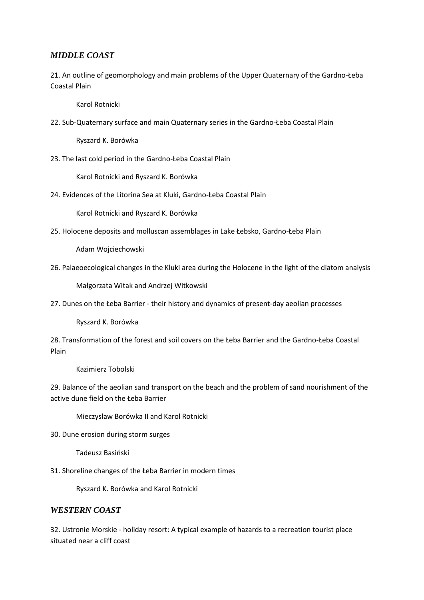## *MIDDLE COAST*

21. An outline of geomorphology and main problems of the Upper Quaternary of the Gardno-Łeba Coastal Plain

Karol Rotnicki

22. Sub-Quaternary surface and main Quaternary series in the Gardno-Łeba Coastal Plain

Ryszard K. Borówka

23. The last cold period in the Gardno-Łeba Coastal Plain

Karol Rotnicki and Ryszard K. Borówka

24. Evidences of the Litorina Sea at Kluki, Gardno-Łeba Coastal Plain

Karol Rotnicki and Ryszard K. Borówka

25. Holocene deposits and molluscan assemblages in Lake Łebsko, Gardno-Łeba Plain

Adam Wojciechowski

26. Palaeoecological changes in the Kluki area during the Holocene in the light of the diatom analysis

Małgorzata Witak and Andrzej Witkowski

27. Dunes on the Łeba Barrier - their history and dynamics of present-day aeolian processes

Ryszard K. Borówka

28. Transformation of the forest and soil covers on the Łeba Barrier and the Gardno-Łeba Coastal Plain

Kazimierz Tobolski

29. Balance of the aeolian sand transport on the beach and the problem of sand nourishment of the active dune field on the Łeba Barrier

Mieczysław Borówka II and Karol Rotnicki

30. Dune erosion during storm surges

Tadeusz Basiński

31. Shoreline changes of the Łeba Barrier in modern times

Ryszard K. Borówka and Karol Rotnicki

#### *WESTERN COAST*

32. Ustronie Morskie - holiday resort: A typical example of hazards to a recreation tourist place situated near a cliff coast